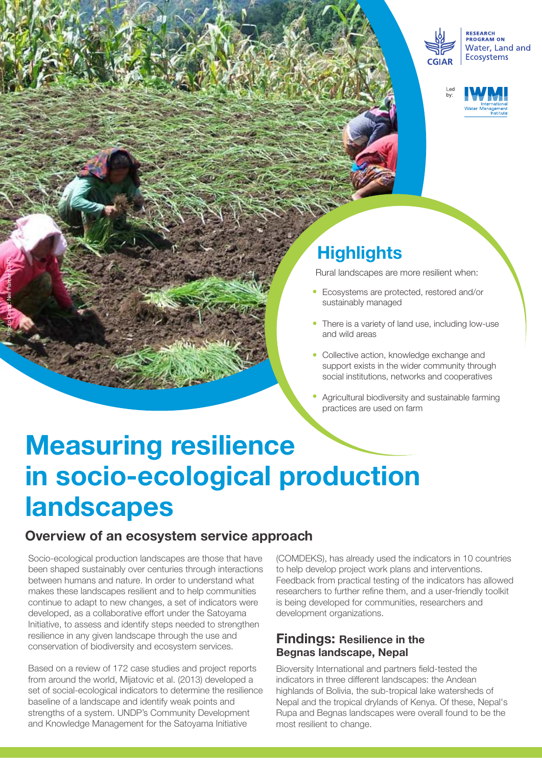



## **Highlights**

Rural landscapes are more resilient when:

- Ecosystems are protected, restored and/or sustainably managed
- There is a variety of land use, including low-use and wild areas
- Collective action, knowledge exchange and support exists in the wider community through social institutions, networks and cooperatives
- Agricultural biodiversity and sustainable farming practices are used on farm

# **Measuring resilience in socio-ecological production landscapes**

### **Overview of an ecosystem service approach**

Socio-ecological production landscapes are those that have been shaped sustainably over centuries through interactions between humans and nature. In order to understand what makes these landscapes resilient and to help communities continue to adapt to new changes, a set of indicators were developed, as a collaborative effort under the Satoyama Initiative, to assess and identify steps needed to strengthen resilience in any given landscape through the use and conservation of biodiversity and ecosystem services.

Photo Credit: Neil Palmer (CIAT)

Based on a review of 172 case studies and project reports from around the world, Mijatovic et al. (2013) developed a set of social-ecological indicators to determine the resilience baseline of a landscape and identify weak points and strengths of a system. UNDP's Community Development and Knowledge Management for the Satoyama Initiative

(COMDEKS), has already used the indicators in 10 countries to help develop project work plans and interventions. Feedback from practical testing of the indicators has allowed researchers to further refine them, and a user-friendly toolkit is being developed for communities, researchers and development organizations.

#### **Findings: Resilience in the Begnas landscape, Nepal**

Bioversity International and partners field-tested the indicators in three different landscapes: the Andean highlands of Bolivia, the sub-tropical lake watersheds of Nepal and the tropical drylands of Kenya. Of these, Nepal's Rupa and Begnas landscapes were overall found to be the most resilient to change.